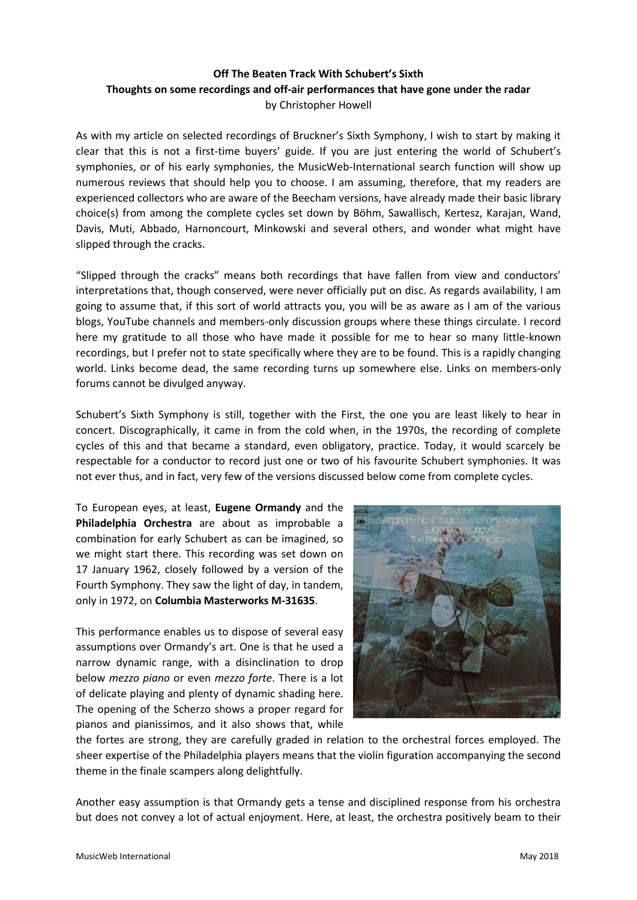## **Off The Beaten Track With Schubert's Sixth Thoughts on some recordings and off-air performances that have gone under the radar** by Christopher Howell

As with my article on selected recordings of Bruckner's Sixth Symphony, I wish to start by making it clear that this is not a first-time buyers' guide. If you are just entering the world of Schubert's symphonies, or of his early symphonies, the MusicWeb-International search function will show up numerous reviews that should help you to choose. I am assuming, therefore, that my readers are experienced collectors who are aware of the Beecham versions, have already made their basic library choice(s) from among the complete cycles set down by Böhm, Sawallisch, Kertesz, Karajan, Wand, Davis, Muti, Abbado, Harnoncourt, Minkowski and several others, and wonder what might have slipped through the cracks.

"Slipped through the cracks" means both recordings that have fallen from view and conductors' interpretations that, though conserved, were never officially put on disc. As regards availability, I am going to assume that, if this sort of world attracts you, you will be as aware as I am of the various blogs, YouTube channels and members-only discussion groups where these things circulate. I record here my gratitude to all those who have made it possible for me to hear so many little-known recordings, but I prefer not to state specifically where they are to be found. This is a rapidly changing world. Links become dead, the same recording turns up somewhere else. Links on members-only forums cannot be divulged anyway.

Schubert's Sixth Symphony is still, together with the First, the one you are least likely to hear in concert. Discographically, it came in from the cold when, in the 1970s, the recording of complete cycles of this and that became a standard, even obligatory, practice. Today, it would scarcely be respectable for a conductor to record just one or two of his favourite Schubert symphonies. It was not ever thus, and in fact, very few of the versions discussed below come from complete cycles.

To European eyes, at least, **Eugene Ormandy** and the **Philadelphia Orchestra** are about as improbable a combination for early Schubert as can be imagined, so we might start there. This recording was set down on 17 January 1962, closely followed by a version of the Fourth Symphony. They saw the light of day, in tandem, only in 1972, on **Columbia Masterworks M-31635**.

This performance enables us to dispose of several easy assumptions over Ormandy's art. One is that he used a narrow dynamic range, with a disinclination to drop below *mezzo piano* or even *mezzo forte*. There is a lot of delicate playing and plenty of dynamic shading here. The opening of the Scherzo shows a proper regard for pianos and pianissimos, and it also shows that, while



the fortes are strong, they are carefully graded in relation to the orchestral forces employed. The sheer expertise of the Philadelphia players means that the violin figuration accompanying the second theme in the finale scampers along delightfully.

Another easy assumption is that Ormandy gets a tense and disciplined response from his orchestra but does not convey a lot of actual enjoyment. Here, at least, the orchestra positively beam to their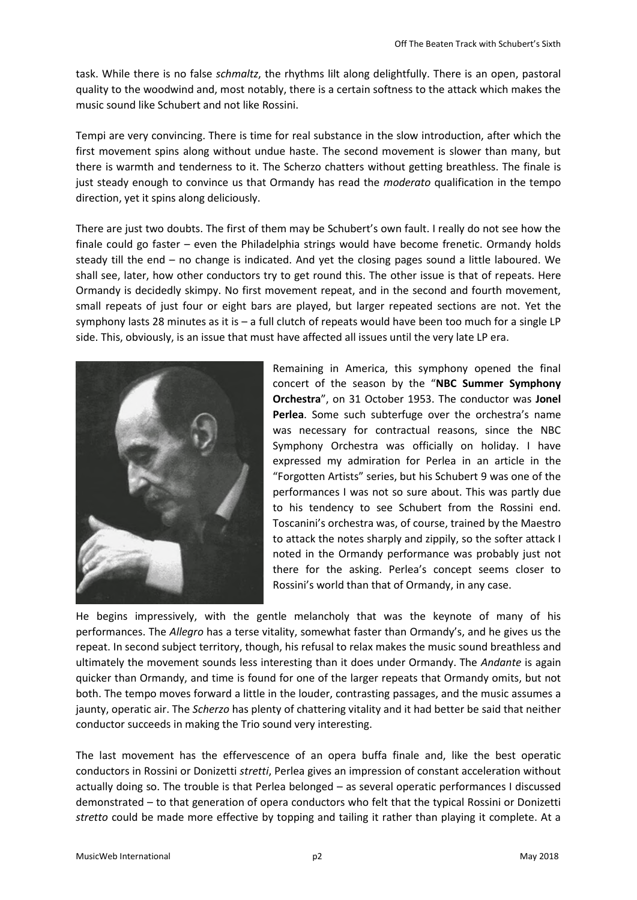task. While there is no false *schmaltz*, the rhythms lilt along delightfully. There is an open, pastoral quality to the woodwind and, most notably, there is a certain softness to the attack which makes the music sound like Schubert and not like Rossini.

Tempi are very convincing. There is time for real substance in the slow introduction, after which the first movement spins along without undue haste. The second movement is slower than many, but there is warmth and tenderness to it. The Scherzo chatters without getting breathless. The finale is just steady enough to convince us that Ormandy has read the *moderato* qualification in the tempo direction, yet it spins along deliciously.

There are just two doubts. The first of them may be Schubert's own fault. I really do not see how the finale could go faster – even the Philadelphia strings would have become frenetic. Ormandy holds steady till the end – no change is indicated. And yet the closing pages sound a little laboured. We shall see, later, how other conductors try to get round this. The other issue is that of repeats. Here Ormandy is decidedly skimpy. No first movement repeat, and in the second and fourth movement, small repeats of just four or eight bars are played, but larger repeated sections are not. Yet the symphony lasts 28 minutes as it is  $-$  a full clutch of repeats would have been too much for a single LP side. This, obviously, is an issue that must have affected all issues until the very late LP era.



Remaining in America, this symphony opened the final concert of the season by the "**NBC Summer Symphony Orchestra**", on 31 October 1953. The conductor was **Jonel Perlea**. Some such subterfuge over the orchestra's name was necessary for contractual reasons, since the NBC Symphony Orchestra was officially on holiday. I have expressed my admiration for Perlea in an article in the "Forgotten Artists" series, but his Schubert 9 was one of the performances I was not so sure about. This was partly due to his tendency to see Schubert from the Rossini end. Toscanini's orchestra was, of course, trained by the Maestro to attack the notes sharply and zippily, so the softer attack I noted in the Ormandy performance was probably just not there for the asking. Perlea's concept seems closer to Rossini's world than that of Ormandy, in any case.

He begins impressively, with the gentle melancholy that was the keynote of many of his performances. The *Allegro* has a terse vitality, somewhat faster than Ormandy's, and he gives us the repeat. In second subject territory, though, his refusal to relax makes the music sound breathless and ultimately the movement sounds less interesting than it does under Ormandy. The *Andante* is again quicker than Ormandy, and time is found for one of the larger repeats that Ormandy omits, but not both. The tempo moves forward a little in the louder, contrasting passages, and the music assumes a jaunty, operatic air. The *Scherzo* has plenty of chattering vitality and it had better be said that neither conductor succeeds in making the Trio sound very interesting.

The last movement has the effervescence of an opera buffa finale and, like the best operatic conductors in Rossini or Donizetti *stretti*, Perlea gives an impression of constant acceleration without actually doing so. The trouble is that Perlea belonged – as several operatic performances I discussed demonstrated – to that generation of opera conductors who felt that the typical Rossini or Donizetti *stretto* could be made more effective by topping and tailing it rather than playing it complete. At a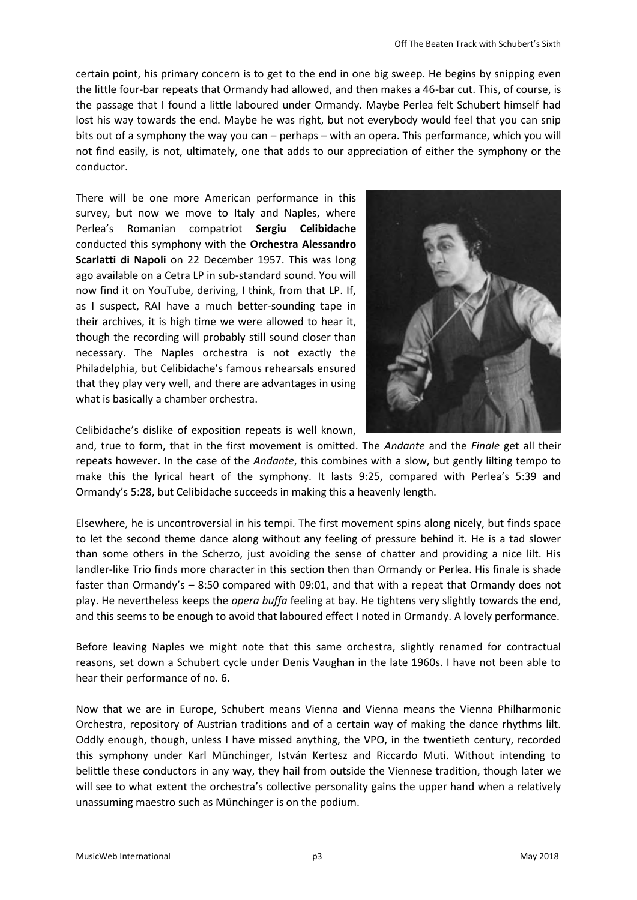certain point, his primary concern is to get to the end in one big sweep. He begins by snipping even the little four-bar repeats that Ormandy had allowed, and then makes a 46-bar cut. This, of course, is the passage that I found a little laboured under Ormandy. Maybe Perlea felt Schubert himself had lost his way towards the end. Maybe he was right, but not everybody would feel that you can snip bits out of a symphony the way you can – perhaps – with an opera. This performance, which you will not find easily, is not, ultimately, one that adds to our appreciation of either the symphony or the conductor.

There will be one more American performance in this survey, but now we move to Italy and Naples, where Perlea's Romanian compatriot **Sergiu Celibidache** conducted this symphony with the **Orchestra Alessandro Scarlatti di Napoli** on 22 December 1957. This was long ago available on a Cetra LP in sub-standard sound. You will now find it on YouTube, deriving, I think, from that LP. If, as I suspect, RAI have a much better-sounding tape in their archives, it is high time we were allowed to hear it, though the recording will probably still sound closer than necessary. The Naples orchestra is not exactly the Philadelphia, but Celibidache's famous rehearsals ensured that they play very well, and there are advantages in using what is basically a chamber orchestra.



Celibidache's dislike of exposition repeats is well known,

and, true to form, that in the first movement is omitted. The *Andante* and the *Finale* get all their repeats however. In the case of the *Andante*, this combines with a slow, but gently lilting tempo to make this the lyrical heart of the symphony. It lasts 9:25, compared with Perlea's 5:39 and Ormandy's 5:28, but Celibidache succeeds in making this a heavenly length.

Elsewhere, he is uncontroversial in his tempi. The first movement spins along nicely, but finds space to let the second theme dance along without any feeling of pressure behind it. He is a tad slower than some others in the Scherzo, just avoiding the sense of chatter and providing a nice lilt. His landler-like Trio finds more character in this section then than Ormandy or Perlea. His finale is shade faster than Ormandy's – 8:50 compared with 09:01, and that with a repeat that Ormandy does not play. He nevertheless keeps the *opera buffa* feeling at bay. He tightens very slightly towards the end, and this seems to be enough to avoid that laboured effect I noted in Ormandy. A lovely performance.

Before leaving Naples we might note that this same orchestra, slightly renamed for contractual reasons, set down a Schubert cycle under Denis Vaughan in the late 1960s. I have not been able to hear their performance of no. 6.

Now that we are in Europe, Schubert means Vienna and Vienna means the Vienna Philharmonic Orchestra, repository of Austrian traditions and of a certain way of making the dance rhythms lilt. Oddly enough, though, unless I have missed anything, the VPO, in the twentieth century, recorded this symphony under Karl Münchinger, István Kertesz and Riccardo Muti. Without intending to belittle these conductors in any way, they hail from outside the Viennese tradition, though later we will see to what extent the orchestra's collective personality gains the upper hand when a relatively unassuming maestro such as Münchinger is on the podium.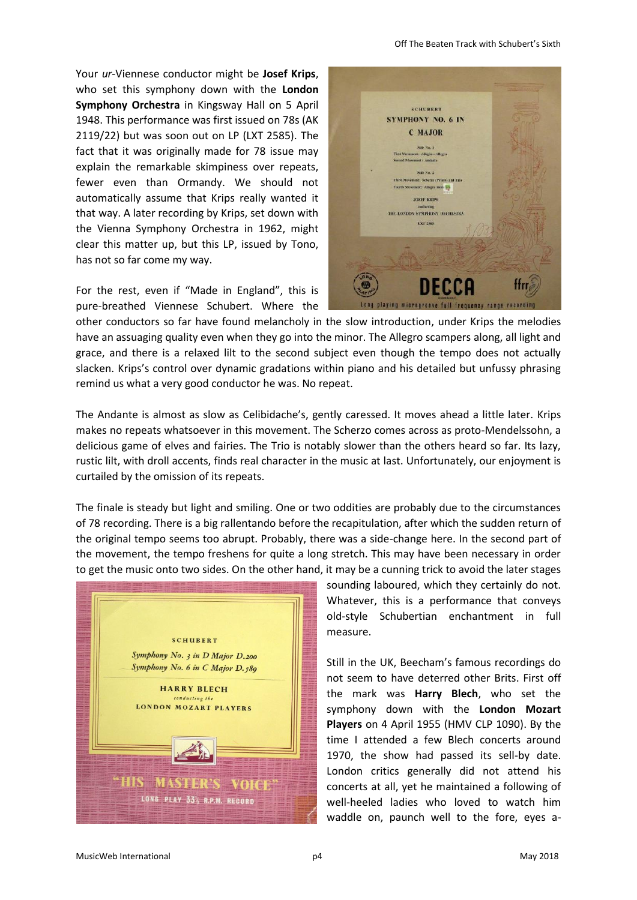Your *ur*-Viennese conductor might be **Josef Krips**, who set this symphony down with the **London Symphony Orchestra** in Kingsway Hall on 5 April 1948. This performance was first issued on 78s (AK 2119/22) but was soon out on LP (LXT 2585). The fact that it was originally made for 78 issue may explain the remarkable skimpiness over repeats, fewer even than Ormandy. We should not automatically assume that Krips really wanted it that way. A later recording by Krips, set down with the Vienna Symphony Orchestra in 1962, might clear this matter up, but this LP, issued by Tono, has not so far come my way.

For the rest, even if "Made in England", this is pure-breathed Viennese Schubert. Where the



other conductors so far have found melancholy in the slow introduction, under Krips the melodies have an assuaging quality even when they go into the minor. The Allegro scampers along, all light and grace, and there is a relaxed lilt to the second subject even though the tempo does not actually slacken. Krips's control over dynamic gradations within piano and his detailed but unfussy phrasing remind us what a very good conductor he was. No repeat.

The Andante is almost as slow as Celibidache's, gently caressed. It moves ahead a little later. Krips makes no repeats whatsoever in this movement. The Scherzo comes across as proto-Mendelssohn, a delicious game of elves and fairies. The Trio is notably slower than the others heard so far. Its lazy, rustic lilt, with droll accents, finds real character in the music at last. Unfortunately, our enjoyment is curtailed by the omission of its repeats.

The finale is steady but light and smiling. One or two oddities are probably due to the circumstances of 78 recording. There is a big rallentando before the recapitulation, after which the sudden return of the original tempo seems too abrupt. Probably, there was a side-change here. In the second part of the movement, the tempo freshens for quite a long stretch. This may have been necessary in order to get the music onto two sides. On the other hand, it may be a cunning trick to avoid the later stages



sounding laboured, which they certainly do not. Whatever, this is a performance that conveys old-style Schubertian enchantment in full measure.

Still in the UK, Beecham's famous recordings do not seem to have deterred other Brits. First off the mark was **Harry Blech**, who set the symphony down with the **London Mozart Players** on 4 April 1955 (HMV CLP 1090). By the time I attended a few Blech concerts around 1970, the show had passed its sell-by date. London critics generally did not attend his concerts at all, yet he maintained a following of well-heeled ladies who loved to watch him waddle on, paunch well to the fore, eyes a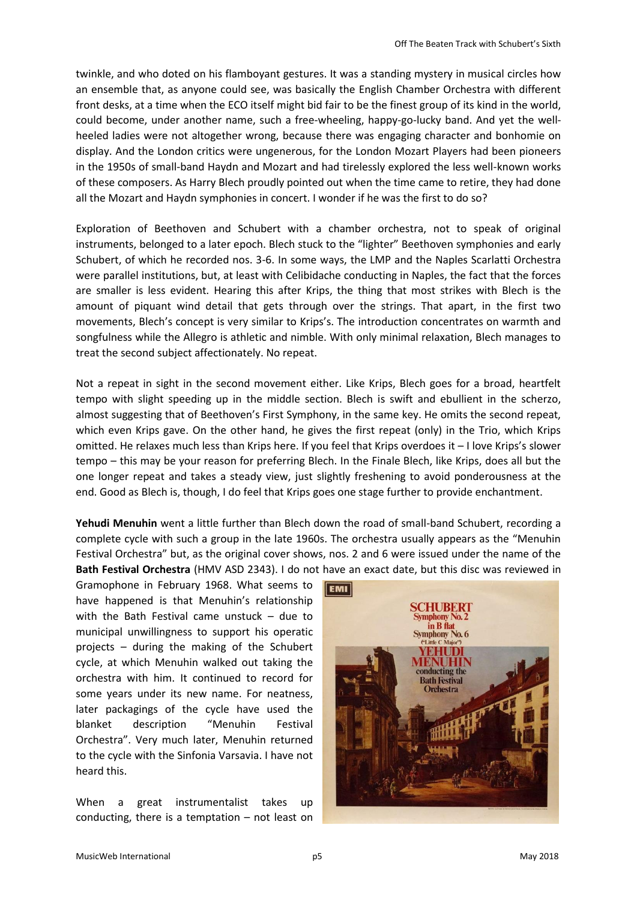twinkle, and who doted on his flamboyant gestures. It was a standing mystery in musical circles how an ensemble that, as anyone could see, was basically the English Chamber Orchestra with different front desks, at a time when the ECO itself might bid fair to be the finest group of its kind in the world, could become, under another name, such a free-wheeling, happy-go-lucky band. And yet the wellheeled ladies were not altogether wrong, because there was engaging character and bonhomie on display. And the London critics were ungenerous, for the London Mozart Players had been pioneers in the 1950s of small-band Haydn and Mozart and had tirelessly explored the less well-known works of these composers. As Harry Blech proudly pointed out when the time came to retire, they had done all the Mozart and Haydn symphonies in concert. I wonder if he was the first to do so?

Exploration of Beethoven and Schubert with a chamber orchestra, not to speak of original instruments, belonged to a later epoch. Blech stuck to the "lighter" Beethoven symphonies and early Schubert, of which he recorded nos. 3-6. In some ways, the LMP and the Naples Scarlatti Orchestra were parallel institutions, but, at least with Celibidache conducting in Naples, the fact that the forces are smaller is less evident. Hearing this after Krips, the thing that most strikes with Blech is the amount of piquant wind detail that gets through over the strings. That apart, in the first two movements, Blech's concept is very similar to Krips's. The introduction concentrates on warmth and songfulness while the Allegro is athletic and nimble. With only minimal relaxation, Blech manages to treat the second subject affectionately. No repeat.

Not a repeat in sight in the second movement either. Like Krips, Blech goes for a broad, heartfelt tempo with slight speeding up in the middle section. Blech is swift and ebullient in the scherzo, almost suggesting that of Beethoven's First Symphony, in the same key. He omits the second repeat, which even Krips gave. On the other hand, he gives the first repeat (only) in the Trio, which Krips omitted. He relaxes much less than Krips here. If you feel that Krips overdoes it – I love Krips's slower tempo – this may be your reason for preferring Blech. In the Finale Blech, like Krips, does all but the one longer repeat and takes a steady view, just slightly freshening to avoid ponderousness at the end. Good as Blech is, though, I do feel that Krips goes one stage further to provide enchantment.

**Yehudi Menuhin** went a little further than Blech down the road of small-band Schubert, recording a complete cycle with such a group in the late 1960s. The orchestra usually appears as the "Menuhin Festival Orchestra" but, as the original cover shows, nos. 2 and 6 were issued under the name of the **Bath Festival Orchestra** (HMV ASD 2343). I do not have an exact date, but this disc was reviewed in

Gramophone in February 1968. What seems to have happened is that Menuhin's relationship with the Bath Festival came unstuck – due to municipal unwillingness to support his operatic projects – during the making of the Schubert cycle, at which Menuhin walked out taking the orchestra with him. It continued to record for some years under its new name. For neatness, later packagings of the cycle have used the blanket description "Menuhin Festival Orchestra". Very much later, Menuhin returned to the cycle with the Sinfonia Varsavia. I have not heard this.

When a great instrumentalist takes up conducting, there is a temptation – not least on

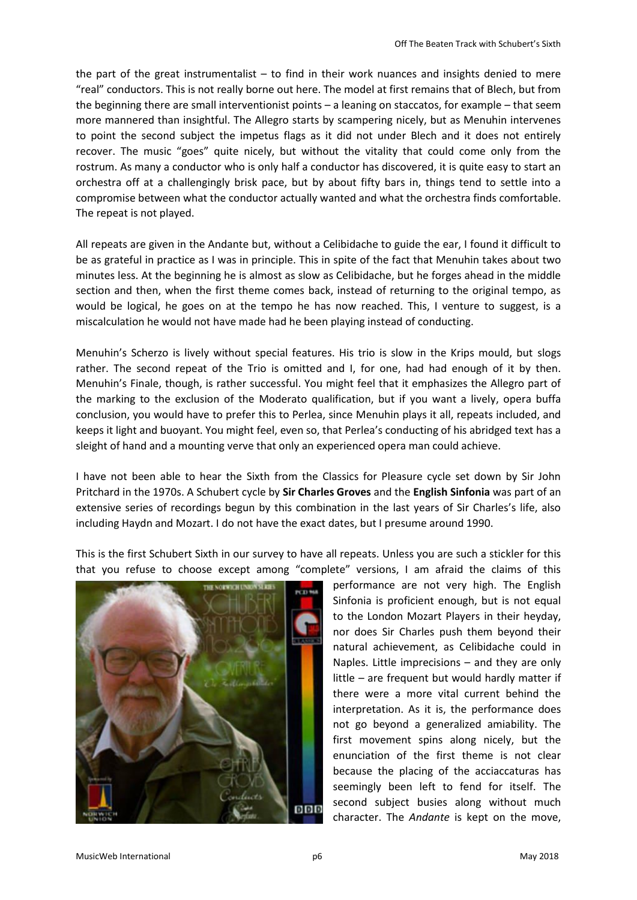the part of the great instrumentalist – to find in their work nuances and insights denied to mere "real" conductors. This is not really borne out here. The model at first remains that of Blech, but from the beginning there are small interventionist points – a leaning on staccatos, for example – that seem more mannered than insightful. The Allegro starts by scampering nicely, but as Menuhin intervenes to point the second subject the impetus flags as it did not under Blech and it does not entirely recover. The music "goes" quite nicely, but without the vitality that could come only from the rostrum. As many a conductor who is only half a conductor has discovered, it is quite easy to start an orchestra off at a challengingly brisk pace, but by about fifty bars in, things tend to settle into a compromise between what the conductor actually wanted and what the orchestra finds comfortable. The repeat is not played.

All repeats are given in the Andante but, without a Celibidache to guide the ear, I found it difficult to be as grateful in practice as I was in principle. This in spite of the fact that Menuhin takes about two minutes less. At the beginning he is almost as slow as Celibidache, but he forges ahead in the middle section and then, when the first theme comes back, instead of returning to the original tempo, as would be logical, he goes on at the tempo he has now reached. This, I venture to suggest, is a miscalculation he would not have made had he been playing instead of conducting.

Menuhin's Scherzo is lively without special features. His trio is slow in the Krips mould, but slogs rather. The second repeat of the Trio is omitted and I, for one, had had enough of it by then. Menuhin's Finale, though, is rather successful. You might feel that it emphasizes the Allegro part of the marking to the exclusion of the Moderato qualification, but if you want a lively, opera buffa conclusion, you would have to prefer this to Perlea, since Menuhin plays it all, repeats included, and keeps it light and buoyant. You might feel, even so, that Perlea's conducting of his abridged text has a sleight of hand and a mounting verve that only an experienced opera man could achieve.

I have not been able to hear the Sixth from the Classics for Pleasure cycle set down by Sir John Pritchard in the 1970s. A Schubert cycle by **Sir Charles Groves** and the **English Sinfonia** was part of an extensive series of recordings begun by this combination in the last years of Sir Charles's life, also including Haydn and Mozart. I do not have the exact dates, but I presume around 1990.

This is the first Schubert Sixth in our survey to have all repeats. Unless you are such a stickler for this that you refuse to choose except among "complete" versions, I am afraid the claims of this



performance are not very high. The English Sinfonia is proficient enough, but is not equal to the London Mozart Players in their heyday, nor does Sir Charles push them beyond their natural achievement, as Celibidache could in Naples. Little imprecisions – and they are only little – are frequent but would hardly matter if there were a more vital current behind the interpretation. As it is, the performance does not go beyond a generalized amiability. The first movement spins along nicely, but the enunciation of the first theme is not clear because the placing of the acciaccaturas has seemingly been left to fend for itself. The second subject busies along without much character. The *Andante* is kept on the move,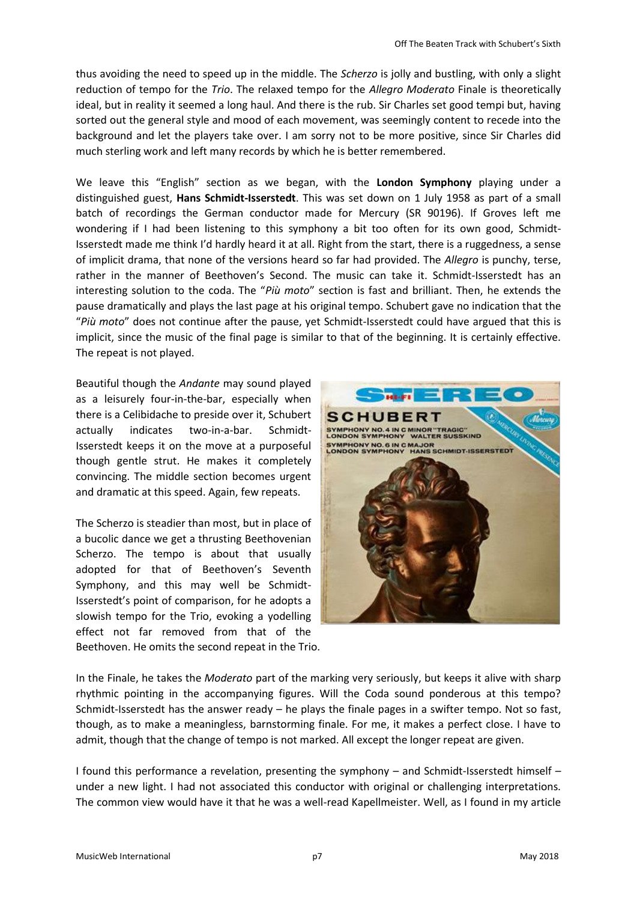thus avoiding the need to speed up in the middle. The *Scherzo* is jolly and bustling, with only a slight reduction of tempo for the *Trio*. The relaxed tempo for the *Allegro Moderato* Finale is theoretically ideal, but in reality it seemed a long haul. And there is the rub. Sir Charles set good tempi but, having sorted out the general style and mood of each movement, was seemingly content to recede into the background and let the players take over. I am sorry not to be more positive, since Sir Charles did much sterling work and left many records by which he is better remembered.

We leave this "English" section as we began, with the **London Symphony** playing under a distinguished guest, **Hans Schmidt-Isserstedt**. This was set down on 1 July 1958 as part of a small batch of recordings the German conductor made for Mercury (SR 90196). If Groves left me wondering if I had been listening to this symphony a bit too often for its own good, Schmidt-Isserstedt made me think I'd hardly heard it at all. Right from the start, there is a ruggedness, a sense of implicit drama, that none of the versions heard so far had provided. The *Allegro* is punchy, terse, rather in the manner of Beethoven's Second. The music can take it. Schmidt-Isserstedt has an interesting solution to the coda. The "*Più moto*" section is fast and brilliant. Then, he extends the pause dramatically and plays the last page at his original tempo. Schubert gave no indication that the "*Più moto*" does not continue after the pause, yet Schmidt-Isserstedt could have argued that this is implicit, since the music of the final page is similar to that of the beginning. It is certainly effective. The repeat is not played.

Beautiful though the *Andante* may sound played as a leisurely four-in-the-bar, especially when there is a Celibidache to preside over it, Schubert actually indicates two-in-a-bar. Schmidt-Isserstedt keeps it on the move at a purposeful though gentle strut. He makes it completely convincing. The middle section becomes urgent and dramatic at this speed. Again, few repeats.

The Scherzo is steadier than most, but in place of a bucolic dance we get a thrusting Beethovenian Scherzo. The tempo is about that usually adopted for that of Beethoven's Seventh Symphony, and this may well be Schmidt-Isserstedt's point of comparison, for he adopts a slowish tempo for the Trio, evoking a yodelling effect not far removed from that of the Beethoven. He omits the second repeat in the Trio.



In the Finale, he takes the *Moderato* part of the marking very seriously, but keeps it alive with sharp rhythmic pointing in the accompanying figures. Will the Coda sound ponderous at this tempo? Schmidt-Isserstedt has the answer ready – he plays the finale pages in a swifter tempo. Not so fast, though, as to make a meaningless, barnstorming finale. For me, it makes a perfect close. I have to admit, though that the change of tempo is not marked. All except the longer repeat are given.

I found this performance a revelation, presenting the symphony – and Schmidt-Isserstedt himself – under a new light. I had not associated this conductor with original or challenging interpretations. The common view would have it that he was a well-read Kapellmeister. Well, as I found in my article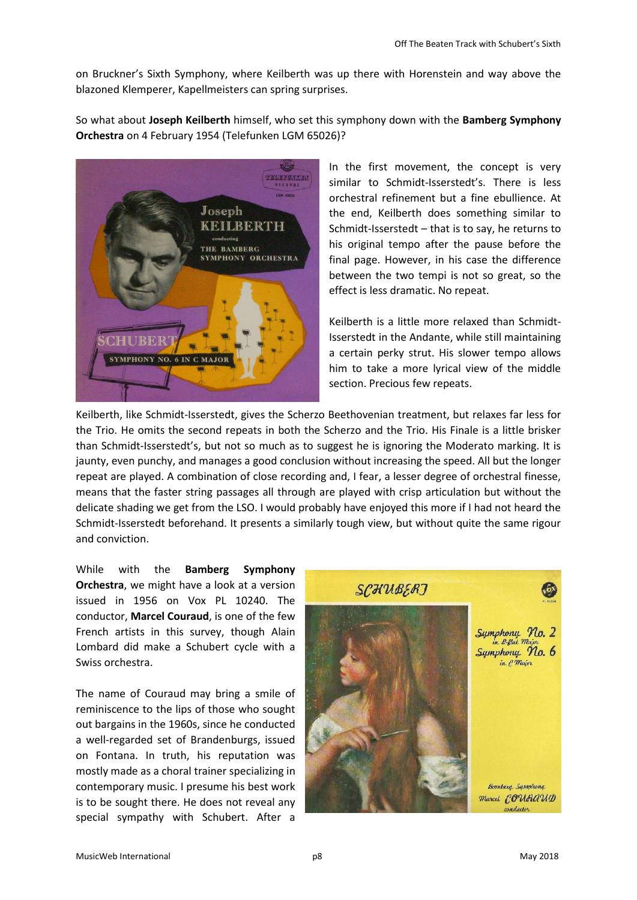on Bruckner's Sixth Symphony, where Keilberth was up there with Horenstein and way above the blazoned Klemperer, Kapellmeisters can spring surprises.

So what about **Joseph Keilberth** himself, who set this symphony down with the **Bamberg Symphony Orchestra** on 4 February 1954 (Telefunken LGM 65026)?



In the first movement, the concept is very similar to Schmidt-Isserstedt's. There is less orchestral refinement but a fine ebullience. At the end, Keilberth does something similar to Schmidt-Isserstedt – that is to say, he returns to his original tempo after the pause before the final page. However, in his case the difference between the two tempi is not so great, so the effect is less dramatic. No repeat.

Keilberth is a little more relaxed than Schmidt-Isserstedt in the Andante, while still maintaining a certain perky strut. His slower tempo allows him to take a more lyrical view of the middle section. Precious few repeats.

Keilberth, like Schmidt-Isserstedt, gives the Scherzo Beethovenian treatment, but relaxes far less for the Trio. He omits the second repeats in both the Scherzo and the Trio. His Finale is a little brisker than Schmidt-Isserstedt's, but not so much as to suggest he is ignoring the Moderato marking. It is jaunty, even punchy, and manages a good conclusion without increasing the speed. All but the longer repeat are played. A combination of close recording and, I fear, a lesser degree of orchestral finesse, means that the faster string passages all through are played with crisp articulation but without the delicate shading we get from the LSO. I would probably have enjoyed this more if I had not heard the Schmidt-Isserstedt beforehand. It presents a similarly tough view, but without quite the same rigour and conviction.

While with the **Bamberg Symphony Orchestra**, we might have a look at a version issued in 1956 on Vox PL 10240. The conductor, **Marcel Couraud**, is one of the few French artists in this survey, though Alain Lombard did make a Schubert cycle with a Swiss orchestra.

The name of Couraud may bring a smile of reminiscence to the lips of those who sought out bargains in the 1960s, since he conducted a well-regarded set of Brandenburgs, issued on Fontana. In truth, his reputation was mostly made as a choral trainer specializing in contemporary music. I presume his best work is to be sought there. He does not reveal any special sympathy with Schubert. After a

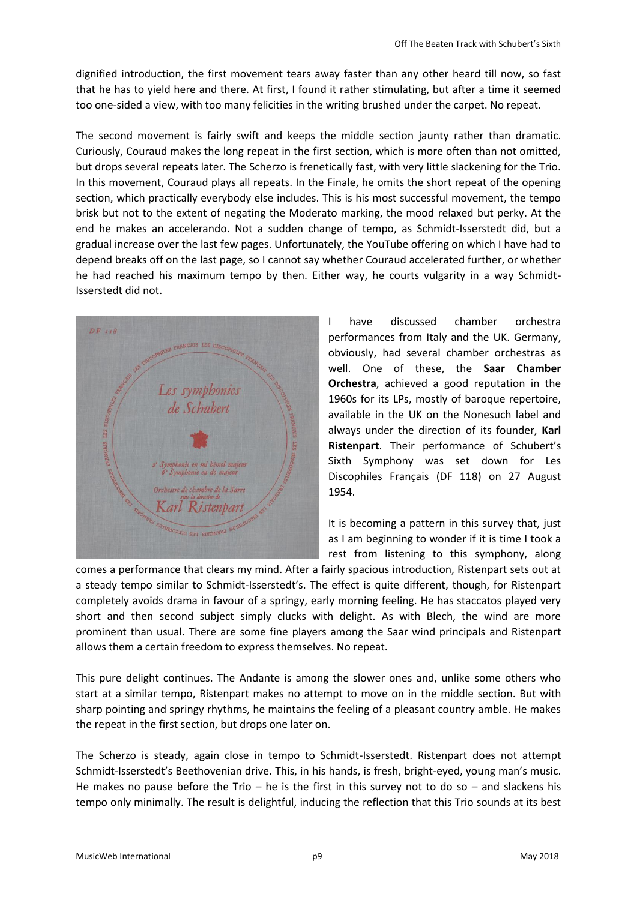dignified introduction, the first movement tears away faster than any other heard till now, so fast that he has to yield here and there. At first, I found it rather stimulating, but after a time it seemed too one-sided a view, with too many felicities in the writing brushed under the carpet. No repeat.

The second movement is fairly swift and keeps the middle section jaunty rather than dramatic. Curiously, Couraud makes the long repeat in the first section, which is more often than not omitted, but drops several repeats later. The Scherzo is frenetically fast, with very little slackening for the Trio. In this movement, Couraud plays all repeats. In the Finale, he omits the short repeat of the opening section, which practically everybody else includes. This is his most successful movement, the tempo brisk but not to the extent of negating the Moderato marking, the mood relaxed but perky. At the end he makes an accelerando. Not a sudden change of tempo, as Schmidt-Isserstedt did, but a gradual increase over the last few pages. Unfortunately, the YouTube offering on which I have had to depend breaks off on the last page, so I cannot say whether Couraud accelerated further, or whether he had reached his maximum tempo by then. Either way, he courts vulgarity in a way Schmidt-Isserstedt did not.



I have discussed chamber orchestra performances from Italy and the UK. Germany, obviously, had several chamber orchestras as well. One of these, the **Saar Chamber Orchestra**, achieved a good reputation in the 1960s for its LPs, mostly of baroque repertoire, available in the UK on the Nonesuch label and always under the direction of its founder, **Karl Ristenpart**. Their performance of Schubert's Sixth Symphony was set down for Les Discophiles Français (DF 118) on 27 August 1954.

It is becoming a pattern in this survey that, just as I am beginning to wonder if it is time I took a rest from listening to this symphony, along

comes a performance that clears my mind. After a fairly spacious introduction, Ristenpart sets out at a steady tempo similar to Schmidt-Isserstedt's. The effect is quite different, though, for Ristenpart completely avoids drama in favour of a springy, early morning feeling. He has staccatos played very short and then second subject simply clucks with delight. As with Blech, the wind are more prominent than usual. There are some fine players among the Saar wind principals and Ristenpart allows them a certain freedom to express themselves. No repeat.

This pure delight continues. The Andante is among the slower ones and, unlike some others who start at a similar tempo, Ristenpart makes no attempt to move on in the middle section. But with sharp pointing and springy rhythms, he maintains the feeling of a pleasant country amble. He makes the repeat in the first section, but drops one later on.

The Scherzo is steady, again close in tempo to Schmidt-Isserstedt. Ristenpart does not attempt Schmidt-Isserstedt's Beethovenian drive. This, in his hands, is fresh, bright-eyed, young man's music. He makes no pause before the Trio – he is the first in this survey not to do so – and slackens his tempo only minimally. The result is delightful, inducing the reflection that this Trio sounds at its best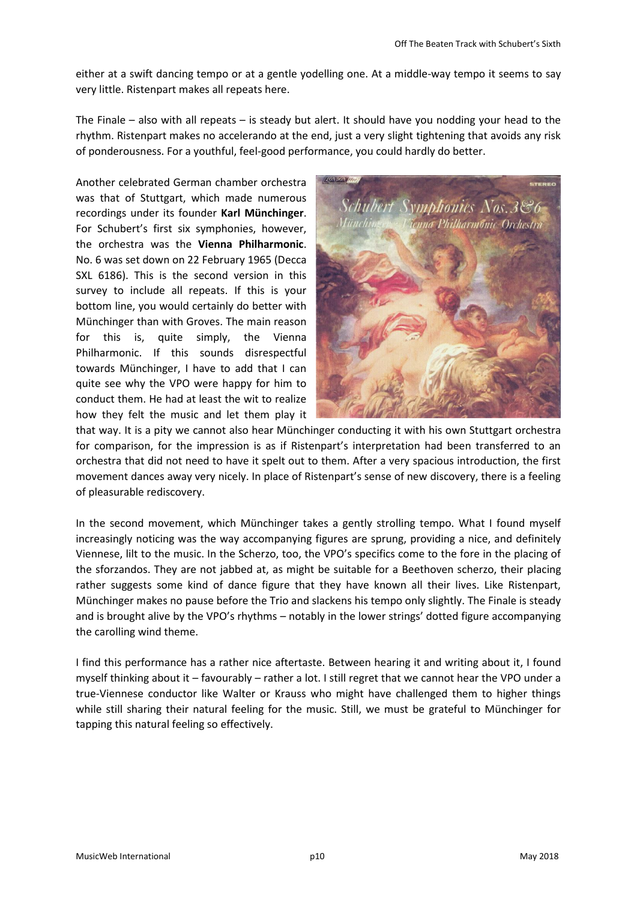either at a swift dancing tempo or at a gentle yodelling one. At a middle-way tempo it seems to say very little. Ristenpart makes all repeats here.

The Finale – also with all repeats – is steady but alert. It should have you nodding your head to the rhythm. Ristenpart makes no accelerando at the end, just a very slight tightening that avoids any risk of ponderousness. For a youthful, feel-good performance, you could hardly do better.

Another celebrated German chamber orchestra was that of Stuttgart, which made numerous recordings under its founder **Karl Münchinger**. For Schubert's first six symphonies, however, the orchestra was the **Vienna Philharmonic**. No. 6 was set down on 22 February 1965 (Decca SXL 6186). This is the second version in this survey to include all repeats. If this is your bottom line, you would certainly do better with Münchinger than with Groves. The main reason for this is, quite simply, the Vienna Philharmonic. If this sounds disrespectful towards Münchinger, I have to add that I can quite see why the VPO were happy for him to conduct them. He had at least the wit to realize how they felt the music and let them play it



that way. It is a pity we cannot also hear Münchinger conducting it with his own Stuttgart orchestra for comparison, for the impression is as if Ristenpart's interpretation had been transferred to an orchestra that did not need to have it spelt out to them. After a very spacious introduction, the first movement dances away very nicely. In place of Ristenpart's sense of new discovery, there is a feeling of pleasurable rediscovery.

In the second movement, which Münchinger takes a gently strolling tempo. What I found myself increasingly noticing was the way accompanying figures are sprung, providing a nice, and definitely Viennese, lilt to the music. In the Scherzo, too, the VPO's specifics come to the fore in the placing of the sforzandos. They are not jabbed at, as might be suitable for a Beethoven scherzo, their placing rather suggests some kind of dance figure that they have known all their lives. Like Ristenpart, Münchinger makes no pause before the Trio and slackens his tempo only slightly. The Finale is steady and is brought alive by the VPO's rhythms – notably in the lower strings' dotted figure accompanying the carolling wind theme.

I find this performance has a rather nice aftertaste. Between hearing it and writing about it, I found myself thinking about it – favourably – rather a lot. I still regret that we cannot hear the VPO under a true-Viennese conductor like Walter or Krauss who might have challenged them to higher things while still sharing their natural feeling for the music. Still, we must be grateful to Münchinger for tapping this natural feeling so effectively.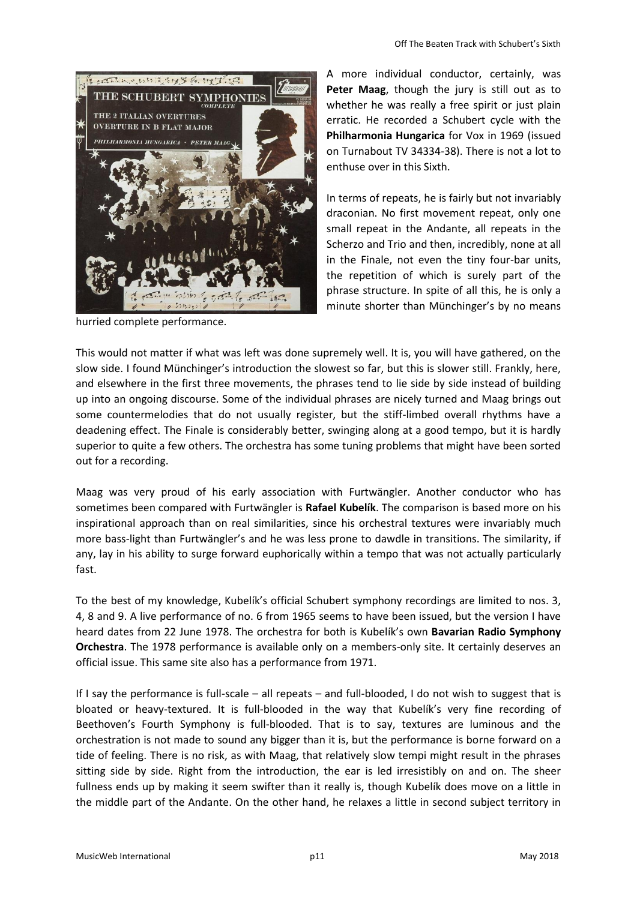

hurried complete performance.

A more individual conductor, certainly, was **Peter Maag**, though the jury is still out as to whether he was really a free spirit or just plain erratic. He recorded a Schubert cycle with the **Philharmonia Hungarica** for Vox in 1969 (issued on Turnabout TV 34334-38). There is not a lot to enthuse over in this Sixth.

In terms of repeats, he is fairly but not invariably draconian. No first movement repeat, only one small repeat in the Andante, all repeats in the Scherzo and Trio and then, incredibly, none at all in the Finale, not even the tiny four-bar units, the repetition of which is surely part of the phrase structure. In spite of all this, he is only a minute shorter than Münchinger's by no means

This would not matter if what was left was done supremely well. It is, you will have gathered, on the slow side. I found Münchinger's introduction the slowest so far, but this is slower still. Frankly, here, and elsewhere in the first three movements, the phrases tend to lie side by side instead of building up into an ongoing discourse. Some of the individual phrases are nicely turned and Maag brings out some countermelodies that do not usually register, but the stiff-limbed overall rhythms have a deadening effect. The Finale is considerably better, swinging along at a good tempo, but it is hardly superior to quite a few others. The orchestra has some tuning problems that might have been sorted out for a recording.

Maag was very proud of his early association with Furtwängler. Another conductor who has sometimes been compared with Furtwängler is **Rafael Kubelík**. The comparison is based more on his inspirational approach than on real similarities, since his orchestral textures were invariably much more bass-light than Furtwängler's and he was less prone to dawdle in transitions. The similarity, if any, lay in his ability to surge forward euphorically within a tempo that was not actually particularly fast.

To the best of my knowledge, Kubelík's official Schubert symphony recordings are limited to nos. 3, 4, 8 and 9. A live performance of no. 6 from 1965 seems to have been issued, but the version I have heard dates from 22 June 1978. The orchestra for both is Kubelík's own **Bavarian Radio Symphony Orchestra**. The 1978 performance is available only on a members-only site. It certainly deserves an official issue. This same site also has a performance from 1971.

If I say the performance is full-scale – all repeats – and full-blooded, I do not wish to suggest that is bloated or heavy-textured. It is full-blooded in the way that Kubelík's very fine recording of Beethoven's Fourth Symphony is full-blooded. That is to say, textures are luminous and the orchestration is not made to sound any bigger than it is, but the performance is borne forward on a tide of feeling. There is no risk, as with Maag, that relatively slow tempi might result in the phrases sitting side by side. Right from the introduction, the ear is led irresistibly on and on. The sheer fullness ends up by making it seem swifter than it really is, though Kubelík does move on a little in the middle part of the Andante. On the other hand, he relaxes a little in second subject territory in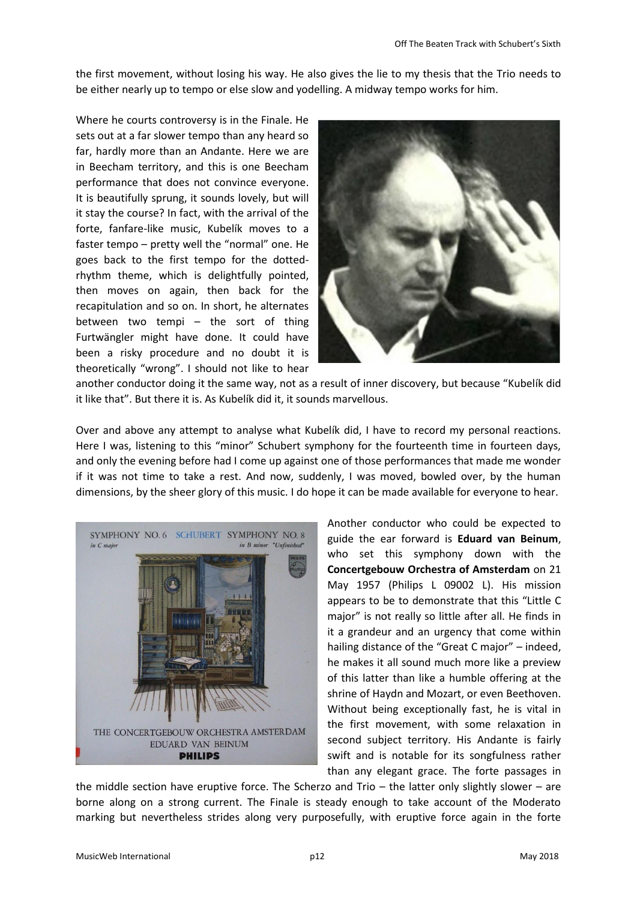the first movement, without losing his way. He also gives the lie to my thesis that the Trio needs to be either nearly up to tempo or else slow and yodelling. A midway tempo works for him.

Where he courts controversy is in the Finale. He sets out at a far slower tempo than any heard so far, hardly more than an Andante. Here we are in Beecham territory, and this is one Beecham performance that does not convince everyone. It is beautifully sprung, it sounds lovely, but will it stay the course? In fact, with the arrival of the forte, fanfare-like music, Kubelík moves to a faster tempo – pretty well the "normal" one. He goes back to the first tempo for the dottedrhythm theme, which is delightfully pointed, then moves on again, then back for the recapitulation and so on. In short, he alternates between two tempi – the sort of thing Furtwängler might have done. It could have been a risky procedure and no doubt it is theoretically "wrong". I should not like to hear



another conductor doing it the same way, not as a result of inner discovery, but because "Kubelík did it like that". But there it is. As Kubelík did it, it sounds marvellous.

Over and above any attempt to analyse what Kubelík did, I have to record my personal reactions. Here I was, listening to this "minor" Schubert symphony for the fourteenth time in fourteen days, and only the evening before had I come up against one of those performances that made me wonder if it was not time to take a rest. And now, suddenly, I was moved, bowled over, by the human dimensions, by the sheer glory of this music. I do hope it can be made available for everyone to hear.



Another conductor who could be expected to guide the ear forward is **Eduard van Beinum**, who set this symphony down with the **Concertgebouw Orchestra of Amsterdam** on 21 May 1957 (Philips L 09002 L). His mission appears to be to demonstrate that this "Little C major" is not really so little after all. He finds in it a grandeur and an urgency that come within hailing distance of the "Great C major" – indeed, he makes it all sound much more like a preview of this latter than like a humble offering at the shrine of Haydn and Mozart, or even Beethoven. Without being exceptionally fast, he is vital in the first movement, with some relaxation in second subject territory. His Andante is fairly swift and is notable for its songfulness rather than any elegant grace. The forte passages in

the middle section have eruptive force. The Scherzo and Trio – the latter only slightly slower – are borne along on a strong current. The Finale is steady enough to take account of the Moderato marking but nevertheless strides along very purposefully, with eruptive force again in the forte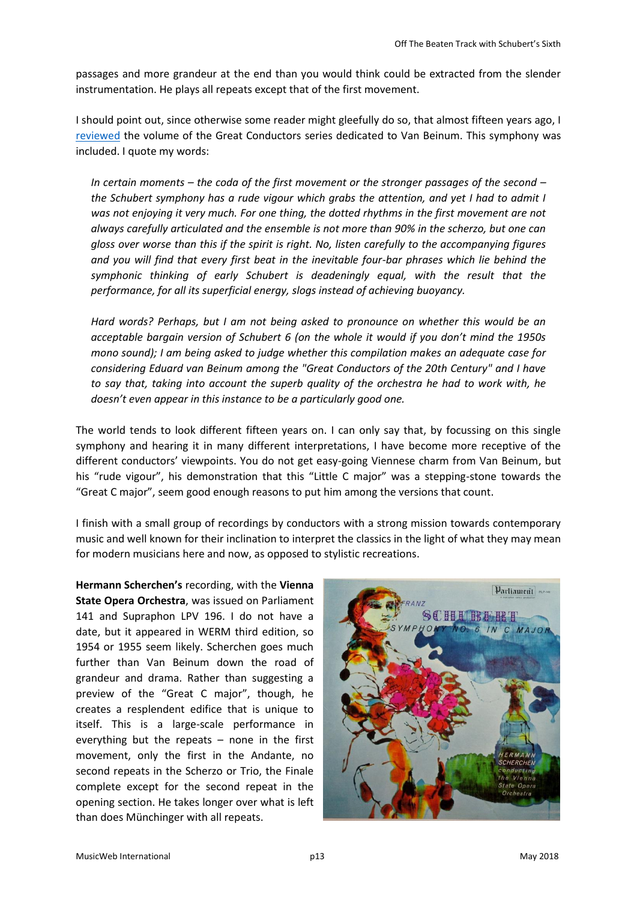passages and more grandeur at the end than you would think could be extracted from the slender instrumentation. He plays all repeats except that of the first movement.

I should point out, since otherwise some reader might gleefully do so, that almost fifteen years ago, I [reviewed](http://www.musicweb-international.com/classrev/2003/Jun03/Beinum.htm) the volume of the Great Conductors series dedicated to Van Beinum. This symphony was included. I quote my words:

*In certain moments – the coda of the first movement or the stronger passages of the second – the Schubert symphony has a rude vigour which grabs the attention, and yet I had to admit I was not enjoying it very much. For one thing, the dotted rhythms in the first movement are not always carefully articulated and the ensemble is not more than 90% in the scherzo, but one can gloss over worse than this if the spirit is right. No, listen carefully to the accompanying figures and you will find that every first beat in the inevitable four-bar phrases which lie behind the symphonic thinking of early Schubert is deadeningly equal, with the result that the performance, for all its superficial energy, slogs instead of achieving buoyancy.*

*Hard words? Perhaps, but I am not being asked to pronounce on whether this would be an acceptable bargain version of Schubert 6 (on the whole it would if you don't mind the 1950s mono sound); I am being asked to judge whether this compilation makes an adequate case for considering Eduard van Beinum among the "Great Conductors of the 20th Century" and I have to say that, taking into account the superb quality of the orchestra he had to work with, he doesn't even appear in this instance to be a particularly good one.*

The world tends to look different fifteen years on. I can only say that, by focussing on this single symphony and hearing it in many different interpretations, I have become more receptive of the different conductors' viewpoints. You do not get easy-going Viennese charm from Van Beinum, but his "rude vigour", his demonstration that this "Little C major" was a stepping-stone towards the "Great C major", seem good enough reasons to put him among the versions that count.

I finish with a small group of recordings by conductors with a strong mission towards contemporary music and well known for their inclination to interpret the classics in the light of what they may mean for modern musicians here and now, as opposed to stylistic recreations.

**Hermann Scherchen's** recording, with the **Vienna State Opera Orchestra**, was issued on Parliament 141 and Supraphon LPV 196. I do not have a date, but it appeared in WERM third edition, so 1954 or 1955 seem likely. Scherchen goes much further than Van Beinum down the road of grandeur and drama. Rather than suggesting a preview of the "Great C major", though, he creates a resplendent edifice that is unique to itself. This is a large-scale performance in everything but the repeats – none in the first movement, only the first in the Andante, no second repeats in the Scherzo or Trio, the Finale complete except for the second repeat in the opening section. He takes longer over what is left than does Münchinger with all repeats.

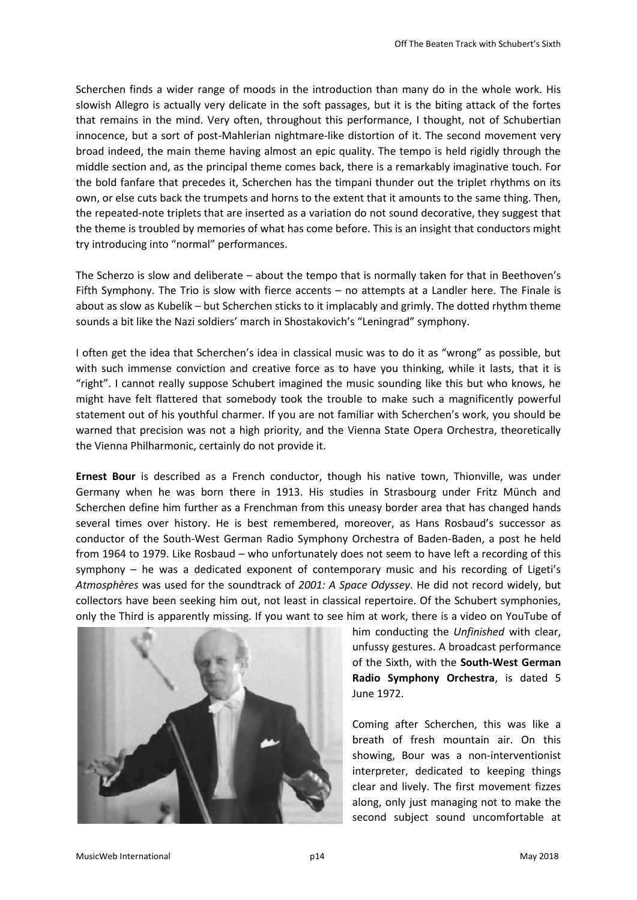Scherchen finds a wider range of moods in the introduction than many do in the whole work. His slowish Allegro is actually very delicate in the soft passages, but it is the biting attack of the fortes that remains in the mind. Very often, throughout this performance, I thought, not of Schubertian innocence, but a sort of post-Mahlerian nightmare-like distortion of it. The second movement very broad indeed, the main theme having almost an epic quality. The tempo is held rigidly through the middle section and, as the principal theme comes back, there is a remarkably imaginative touch. For the bold fanfare that precedes it, Scherchen has the timpani thunder out the triplet rhythms on its own, or else cuts back the trumpets and horns to the extent that it amounts to the same thing. Then, the repeated-note triplets that are inserted as a variation do not sound decorative, they suggest that the theme is troubled by memories of what has come before. This is an insight that conductors might try introducing into "normal" performances.

The Scherzo is slow and deliberate – about the tempo that is normally taken for that in Beethoven's Fifth Symphony. The Trio is slow with fierce accents – no attempts at a Landler here. The Finale is about as slow as Kubelík – but Scherchen sticks to it implacably and grimly. The dotted rhythm theme sounds a bit like the Nazi soldiers' march in Shostakovich's "Leningrad" symphony.

I often get the idea that Scherchen's idea in classical music was to do it as "wrong" as possible, but with such immense conviction and creative force as to have you thinking, while it lasts, that it is "right". I cannot really suppose Schubert imagined the music sounding like this but who knows, he might have felt flattered that somebody took the trouble to make such a magnificently powerful statement out of his youthful charmer. If you are not familiar with Scherchen's work, you should be warned that precision was not a high priority, and the Vienna State Opera Orchestra, theoretically the Vienna Philharmonic, certainly do not provide it.

**Ernest Bour** is described as a French conductor, though his native town, Thionville, was under Germany when he was born there in 1913. His studies in Strasbourg under Fritz Münch and Scherchen define him further as a Frenchman from this uneasy border area that has changed hands several times over history. He is best remembered, moreover, as Hans Rosbaud's successor as conductor of the South-West German Radio Symphony Orchestra of Baden-Baden, a post he held from 1964 to 1979. Like Rosbaud – who unfortunately does not seem to have left a recording of this symphony – he was a dedicated exponent of contemporary music and his recording of Ligeti's *Atmosphères* was used for the soundtrack of *2001: A Space Odyssey*. He did not record widely, but collectors have been seeking him out, not least in classical repertoire. Of the Schubert symphonies, only the Third is apparently missing. If you want to see him at work, there is a video on YouTube of



him conducting the *Unfinished* with clear, unfussy gestures. A broadcast performance of the Sixth, with the **South-West German Radio Symphony Orchestra**, is dated 5 June 1972.

Coming after Scherchen, this was like a breath of fresh mountain air. On this showing, Bour was a non-interventionist interpreter, dedicated to keeping things clear and lively. The first movement fizzes along, only just managing not to make the second subject sound uncomfortable at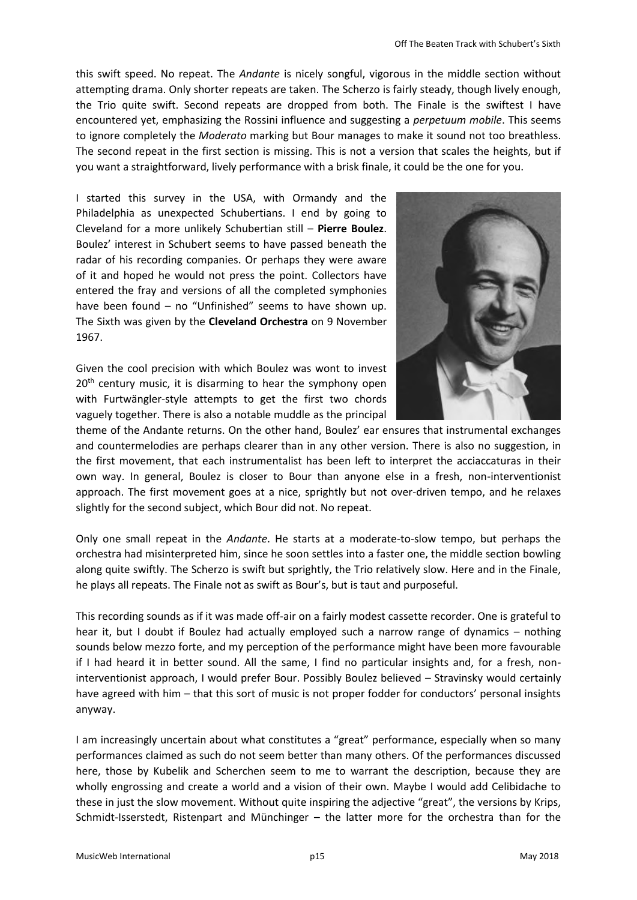this swift speed. No repeat. The *Andante* is nicely songful, vigorous in the middle section without attempting drama. Only shorter repeats are taken. The Scherzo is fairly steady, though lively enough, the Trio quite swift. Second repeats are dropped from both. The Finale is the swiftest I have encountered yet, emphasizing the Rossini influence and suggesting a *perpetuum mobile*. This seems to ignore completely the *Moderato* marking but Bour manages to make it sound not too breathless. The second repeat in the first section is missing. This is not a version that scales the heights, but if you want a straightforward, lively performance with a brisk finale, it could be the one for you.

I started this survey in the USA, with Ormandy and the Philadelphia as unexpected Schubertians. I end by going to Cleveland for a more unlikely Schubertian still – **Pierre Boulez**. Boulez' interest in Schubert seems to have passed beneath the radar of his recording companies. Or perhaps they were aware of it and hoped he would not press the point. Collectors have entered the fray and versions of all the completed symphonies have been found – no "Unfinished" seems to have shown up. The Sixth was given by the **Cleveland Orchestra** on 9 November 1967.

Given the cool precision with which Boulez was wont to invest 20<sup>th</sup> century music, it is disarming to hear the symphony open with Furtwängler-style attempts to get the first two chords vaguely together. There is also a notable muddle as the principal



theme of the Andante returns. On the other hand, Boulez' ear ensures that instrumental exchanges and countermelodies are perhaps clearer than in any other version. There is also no suggestion, in the first movement, that each instrumentalist has been left to interpret the acciaccaturas in their own way. In general, Boulez is closer to Bour than anyone else in a fresh, non-interventionist approach. The first movement goes at a nice, sprightly but not over-driven tempo, and he relaxes slightly for the second subject, which Bour did not. No repeat.

Only one small repeat in the *Andante*. He starts at a moderate-to-slow tempo, but perhaps the orchestra had misinterpreted him, since he soon settles into a faster one, the middle section bowling along quite swiftly. The Scherzo is swift but sprightly, the Trio relatively slow. Here and in the Finale, he plays all repeats. The Finale not as swift as Bour's, but is taut and purposeful.

This recording sounds as if it was made off-air on a fairly modest cassette recorder. One is grateful to hear it, but I doubt if Boulez had actually employed such a narrow range of dynamics – nothing sounds below mezzo forte, and my perception of the performance might have been more favourable if I had heard it in better sound. All the same, I find no particular insights and, for a fresh, noninterventionist approach, I would prefer Bour. Possibly Boulez believed – Stravinsky would certainly have agreed with him – that this sort of music is not proper fodder for conductors' personal insights anyway.

I am increasingly uncertain about what constitutes a "great" performance, especially when so many performances claimed as such do not seem better than many others. Of the performances discussed here, those by Kubelik and Scherchen seem to me to warrant the description, because they are wholly engrossing and create a world and a vision of their own. Maybe I would add Celibidache to these in just the slow movement. Without quite inspiring the adjective "great", the versions by Krips, Schmidt-Isserstedt, Ristenpart and Münchinger – the latter more for the orchestra than for the